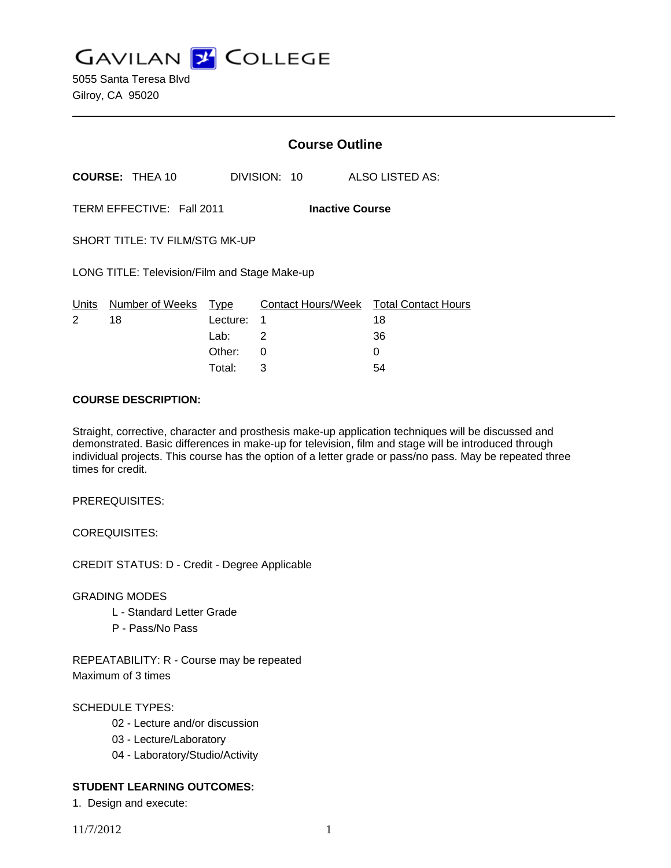**GAVILAN Z COLLEGE** 

5055 Santa Teresa Blvd Gilroy, CA 95020

|                                                     |                        | <b>Course Outline</b> |              |                                        |
|-----------------------------------------------------|------------------------|-----------------------|--------------|----------------------------------------|
|                                                     | <b>COURSE: THEA 10</b> |                       | DIVISION: 10 | ALSO LISTED AS:                        |
| TERM EFFECTIVE: Fall 2011<br><b>Inactive Course</b> |                        |                       |              |                                        |
| SHORT TITLE: TV FILM/STG MK-UP                      |                        |                       |              |                                        |
| LONG TITLE: Television/Film and Stage Make-up       |                        |                       |              |                                        |
| Units                                               | Number of Weeks        | Type                  |              | Contact Hours/Week Total Contact Hours |
| 2                                                   | 18                     | Lecture:              | 1            | 18                                     |
|                                                     |                        | Lab:                  | 2            | 36                                     |
|                                                     |                        | Other:                | 0            | 0                                      |

#### **COURSE DESCRIPTION:**

Straight, corrective, character and prosthesis make-up application techniques will be discussed and demonstrated. Basic differences in make-up for television, film and stage will be introduced through individual projects. This course has the option of a letter grade or pass/no pass. May be repeated three times for credit.

Total: 3 54

PREREQUISITES:

COREQUISITES:

CREDIT STATUS: D - Credit - Degree Applicable

GRADING MODES

- L Standard Letter Grade
- P Pass/No Pass

REPEATABILITY: R - Course may be repeated Maximum of 3 times

### SCHEDULE TYPES:

- 02 Lecture and/or discussion
- 03 Lecture/Laboratory
- 04 Laboratory/Studio/Activity

## **STUDENT LEARNING OUTCOMES:**

1. Design and execute: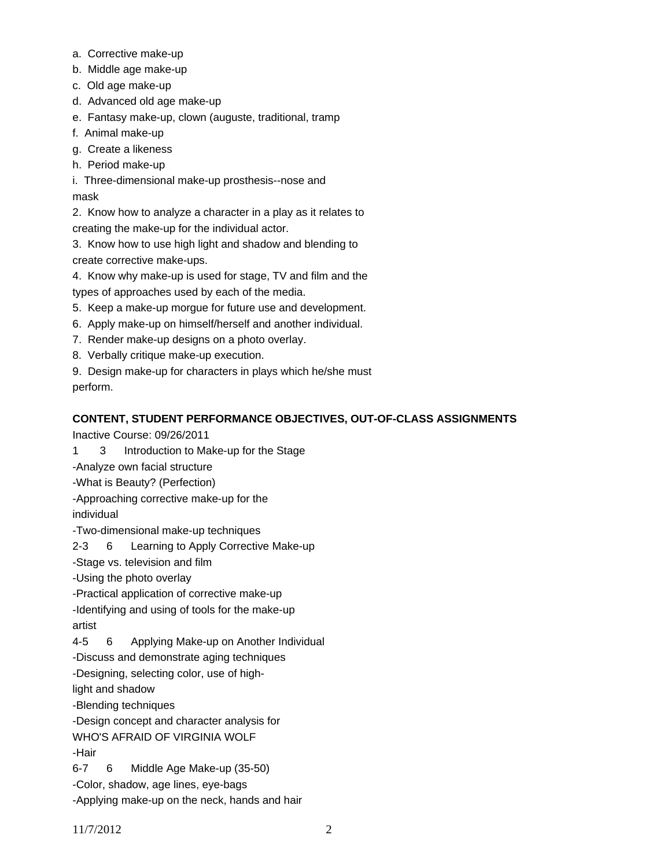- a. Corrective make-up
- b. Middle age make-up
- c. Old age make-up
- d. Advanced old age make-up
- e. Fantasy make-up, clown (auguste, traditional, tramp
- f. Animal make-up
- g. Create a likeness
- h. Period make-up
- i. Three-dimensional make-up prosthesis--nose and mask

2. Know how to analyze a character in a play as it relates to creating the make-up for the individual actor.

3. Know how to use high light and shadow and blending to create corrective make-ups.

4. Know why make-up is used for stage, TV and film and the types of approaches used by each of the media.

- 5. Keep a make-up morgue for future use and development.
- 6. Apply make-up on himself/herself and another individual.
- 7. Render make-up designs on a photo overlay.
- 8. Verbally critique make-up execution.

9. Design make-up for characters in plays which he/she must perform.

# **CONTENT, STUDENT PERFORMANCE OBJECTIVES, OUT-OF-CLASS ASSIGNMENTS**

Inactive Course: 09/26/2011

- 1 3 Introduction to Make-up for the Stage
- -Analyze own facial structure
- -What is Beauty? (Perfection)
- -Approaching corrective make-up for the

individual

-Two-dimensional make-up techniques

2-3 6 Learning to Apply Corrective Make-up

-Stage vs. television and film

- -Using the photo overlay
- -Practical application of corrective make-up

-Identifying and using of tools for the make-up

artist

4-5 6 Applying Make-up on Another Individual

-Discuss and demonstrate aging techniques

-Designing, selecting color, use of high-

light and shadow

-Blending techniques

-Design concept and character analysis for

WHO'S AFRAID OF VIRGINIA WOLF

-Hair

6-7 6 Middle Age Make-up (35-50)

-Color, shadow, age lines, eye-bags

-Applying make-up on the neck, hands and hair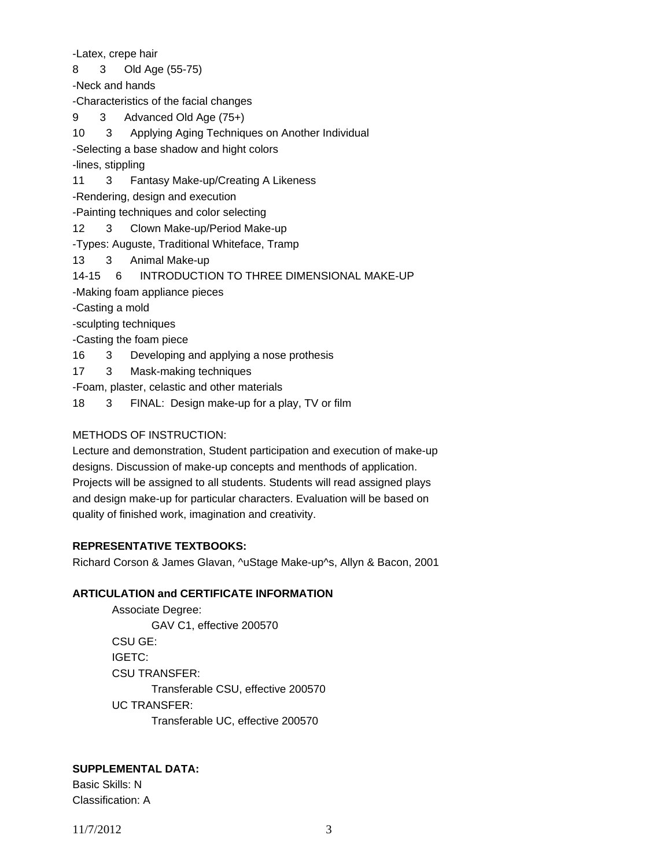-Latex, crepe hair

8 3 Old Age (55-75)

-Neck and hands

-Characteristics of the facial changes

9 3 Advanced Old Age (75+)

10 3 Applying Aging Techniques on Another Individual

-Selecting a base shadow and hight colors

-lines, stippling

11 3 Fantasy Make-up/Creating A Likeness

-Rendering, design and execution

-Painting techniques and color selecting

12 3 Clown Make-up/Period Make-up

-Types: Auguste, Traditional Whiteface, Tramp

13 3 Animal Make-up

14-15 6 INTRODUCTION TO THREE DIMENSIONAL MAKE-UP

-Making foam appliance pieces

-Casting a mold

-sculpting techniques

-Casting the foam piece

16 3 Developing and applying a nose prothesis

17 3 Mask-making techniques

-Foam, plaster, celastic and other materials

18 3 FINAL: Design make-up for a play, TV or film

#### METHODS OF INSTRUCTION:

Lecture and demonstration, Student participation and execution of make-up designs. Discussion of make-up concepts and menthods of application. Projects will be assigned to all students. Students will read assigned plays and design make-up for particular characters. Evaluation will be based on quality of finished work, imagination and creativity.

## **REPRESENTATIVE TEXTBOOKS:**

Richard Corson & James Glavan, ^uStage Make-up^s, Allyn & Bacon, 2001

#### **ARTICULATION and CERTIFICATE INFORMATION**

 Associate Degree: GAV C1, effective 200570 CSU GE: IGETC: CSU TRANSFER: Transferable CSU, effective 200570 UC TRANSFER: Transferable UC, effective 200570

## **SUPPLEMENTAL DATA:**

Basic Skills: N Classification: A